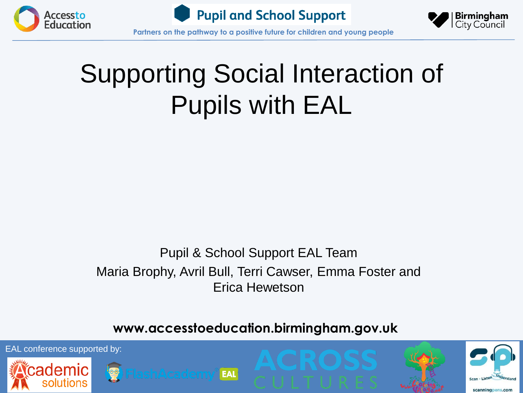





**Partners on the pathway to a positive future for children and young people**

#### Supporting Social Interaction of Pupils with EAL

#### Pupil & School Support EAL Team Maria Brophy, Avril Bull, Terri Cawser, Emma Foster and Erica Hewetson

#### **www.accesstoeducation.birmingham.gov.uk**

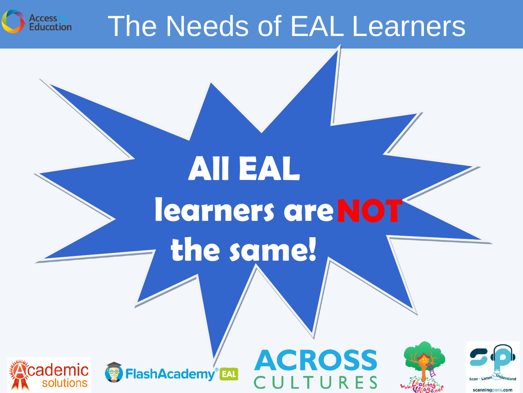

#### The Needs of EAL Learners

AII EAL

the same!

learners are NOT



**FlashAcademy®EAL** 

**ACROSS** . T U R E S



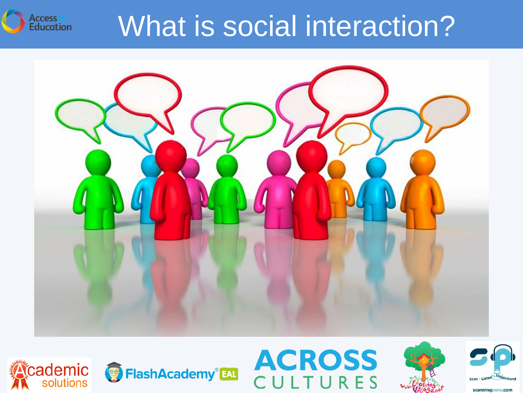





**Accessto**<br>**Education** 







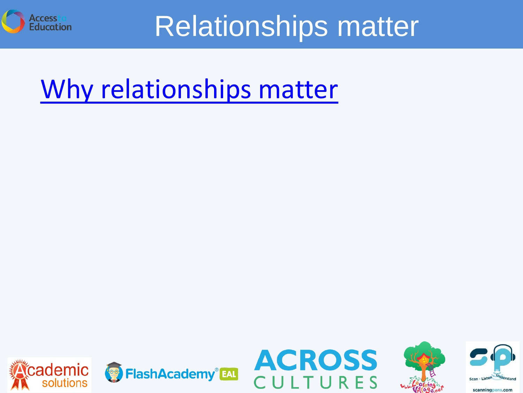

#### Relationships matter

#### [Why relationships matter](https://www.youtube.com/watch?v=SFnMTHhKdkw)







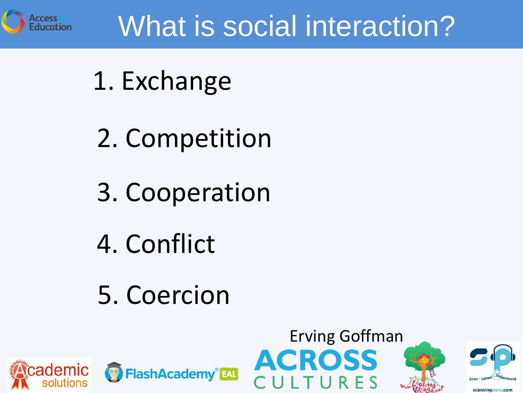

### What is social interaction?

- 1. Exchange
- 2. Competition
- 3. Cooperation
- 4. Conflict
- 5. Coercion







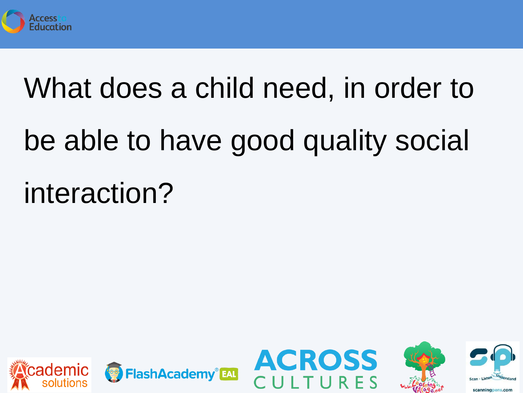

## What does a child need, in order to

# be able to have good quality social interaction?







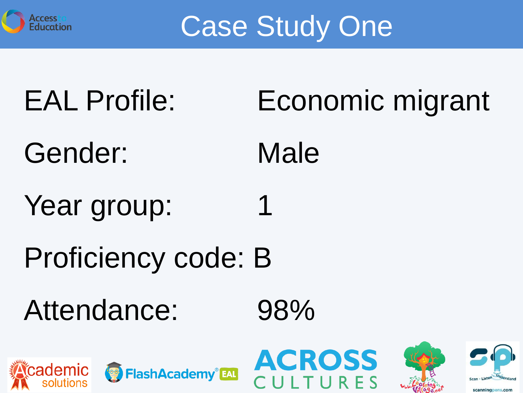

Case Study One

## EAL Profile: Economic migrant

- Gender: Male
- Year group:
- Proficiency code: B
- Attendance: 98%









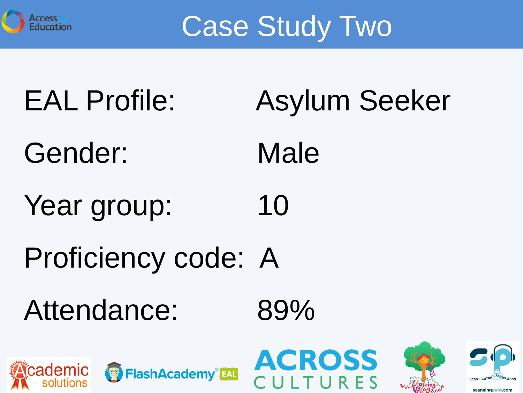

Case Study Two

- EAL Profile: Asylum Seeker
- Gender: Male
- Year group: 10
- Proficiency code: A
- Attendance: 89%









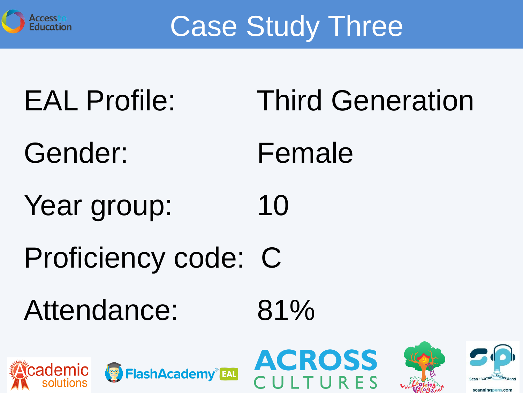

Case Study Three

- EAL Profile: Third Generation
- Gender: Female
- Year group: 10
- Proficiency code: C
- Attendance: 81%









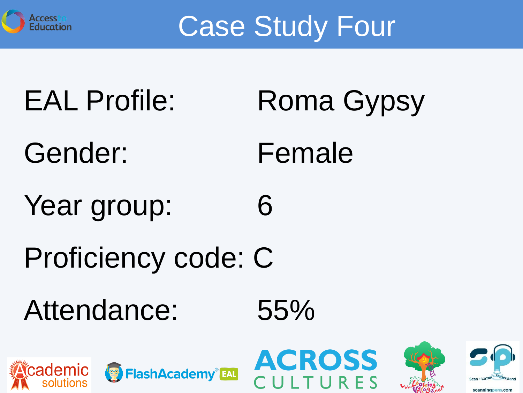

Case Study Four

- EAL Profile: Roma Gypsy
- Gender: Female
- Year group: 6
- Proficiency code: C
- Attendance: 55%









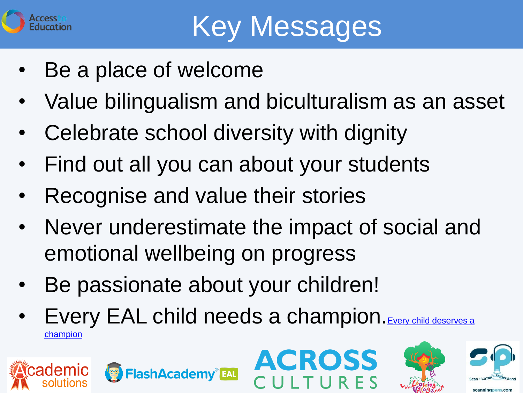

- Be a place of welcome
- Value bilingualism and biculturalism as an asset
- Celebrate school diversity with dignity
- Find out all you can about your students
- Recognise and value their stories
- Never underestimate the impact of social and emotional wellbeing on progress
- Be passionate about your children!
- Every EAL child needs a champion. Every child deserves a [champion](https://www.youtube.com/watch?v=SFnMTHhKdkw)